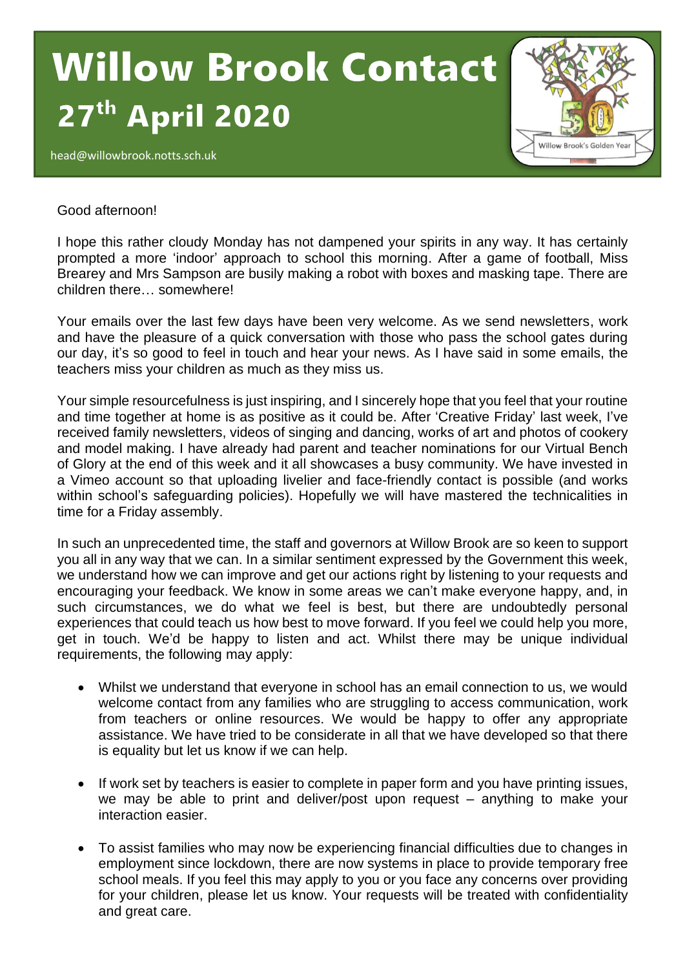## **Willow Brook Contact April 2020**  $\overline{a}$

head@willowbrook.notts.sch.uk



## Good afternoon!

I hope this rather cloudy Monday has not dampened your spirits in any way. It has certainly prompted a more 'indoor' approach to school this morning. After a game of football, Miss Brearey and Mrs Sampson are busily making a robot with boxes and masking tape. There are children there… somewhere!

Your emails over the last few days have been very welcome. As we send newsletters, work and have the pleasure of a quick conversation with those who pass the school gates during our day, it's so good to feel in touch and hear your news. As I have said in some emails, the teachers miss your children as much as they miss us.

Your simple resourcefulness is just inspiring, and I sincerely hope that you feel that your routine and time together at home is as positive as it could be. After 'Creative Friday' last week, I've received family newsletters, videos of singing and dancing, works of art and photos of cookery and model making. I have already had parent and teacher nominations for our Virtual Bench of Glory at the end of this week and it all showcases a busy community. We have invested in a Vimeo account so that uploading livelier and face-friendly contact is possible (and works within school's safeguarding policies). Hopefully we will have mastered the technicalities in time for a Friday assembly.

In such an unprecedented time, the staff and governors at Willow Brook are so keen to support you all in any way that we can. In a similar sentiment expressed by the Government this week, we understand how we can improve and get our actions right by listening to your requests and encouraging your feedback. We know in some areas we can't make everyone happy, and, in such circumstances, we do what we feel is best, but there are undoubtedly personal experiences that could teach us how best to move forward. If you feel we could help you more, get in touch. We'd be happy to listen and act. Whilst there may be unique individual requirements, the following may apply:

- Whilst we understand that everyone in school has an email connection to us, we would welcome contact from any families who are struggling to access communication, work from teachers or online resources. We would be happy to offer any appropriate assistance. We have tried to be considerate in all that we have developed so that there is equality but let us know if we can help.
- If work set by teachers is easier to complete in paper form and you have printing issues, we may be able to print and deliver/post upon request – anything to make your interaction easier.
- To assist families who may now be experiencing financial difficulties due to changes in employment since lockdown, there are now systems in place to provide temporary free school meals. If you feel this may apply to you or you face any concerns over providing for your children, please let us know. Your requests will be treated with confidentiality and great care.